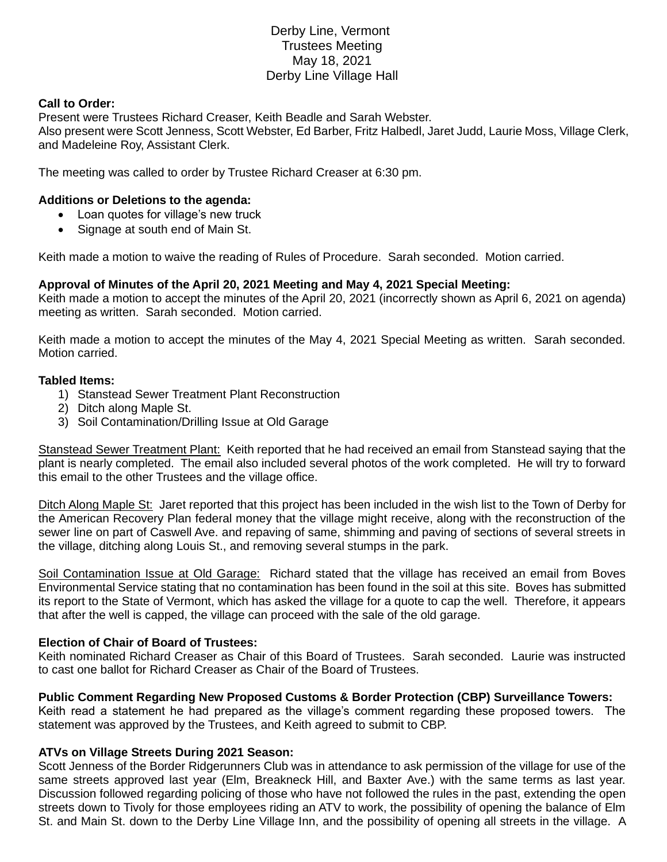# Derby Line, Vermont Trustees Meeting May 18, 2021 Derby Line Village Hall

# **Call to Order:**

Present were Trustees Richard Creaser, Keith Beadle and Sarah Webster. Also present were Scott Jenness, Scott Webster, Ed Barber, Fritz Halbedl, Jaret Judd, Laurie Moss, Village Clerk, and Madeleine Roy, Assistant Clerk.

The meeting was called to order by Trustee Richard Creaser at 6:30 pm.

# **Additions or Deletions to the agenda:**

- Loan quotes for village's new truck
- Signage at south end of Main St.

Keith made a motion to waive the reading of Rules of Procedure. Sarah seconded. Motion carried.

# **Approval of Minutes of the April 20, 2021 Meeting and May 4, 2021 Special Meeting:**

Keith made a motion to accept the minutes of the April 20, 2021 (incorrectly shown as April 6, 2021 on agenda) meeting as written. Sarah seconded. Motion carried.

Keith made a motion to accept the minutes of the May 4, 2021 Special Meeting as written. Sarah seconded. Motion carried.

#### **Tabled Items:**

- 1) Stanstead Sewer Treatment Plant Reconstruction
- 2) Ditch along Maple St.
- 3) Soil Contamination/Drilling Issue at Old Garage

Stanstead Sewer Treatment Plant: Keith reported that he had received an email from Stanstead saying that the plant is nearly completed. The email also included several photos of the work completed. He will try to forward this email to the other Trustees and the village office.

Ditch Along Maple St: Jaret reported that this project has been included in the wish list to the Town of Derby for the American Recovery Plan federal money that the village might receive, along with the reconstruction of the sewer line on part of Caswell Ave. and repaving of same, shimming and paving of sections of several streets in the village, ditching along Louis St., and removing several stumps in the park.

Soil Contamination Issue at Old Garage: Richard stated that the village has received an email from Boves Environmental Service stating that no contamination has been found in the soil at this site. Boves has submitted its report to the State of Vermont, which has asked the village for a quote to cap the well. Therefore, it appears that after the well is capped, the village can proceed with the sale of the old garage.

#### **Election of Chair of Board of Trustees:**

Keith nominated Richard Creaser as Chair of this Board of Trustees. Sarah seconded. Laurie was instructed to cast one ballot for Richard Creaser as Chair of the Board of Trustees.

#### **Public Comment Regarding New Proposed Customs & Border Protection (CBP) Surveillance Towers:**

Keith read a statement he had prepared as the village's comment regarding these proposed towers. The statement was approved by the Trustees, and Keith agreed to submit to CBP.

#### **ATVs on Village Streets During 2021 Season:**

Scott Jenness of the Border Ridgerunners Club was in attendance to ask permission of the village for use of the same streets approved last year (Elm, Breakneck Hill, and Baxter Ave.) with the same terms as last year. Discussion followed regarding policing of those who have not followed the rules in the past, extending the open streets down to Tivoly for those employees riding an ATV to work, the possibility of opening the balance of Elm St. and Main St. down to the Derby Line Village Inn, and the possibility of opening all streets in the village. A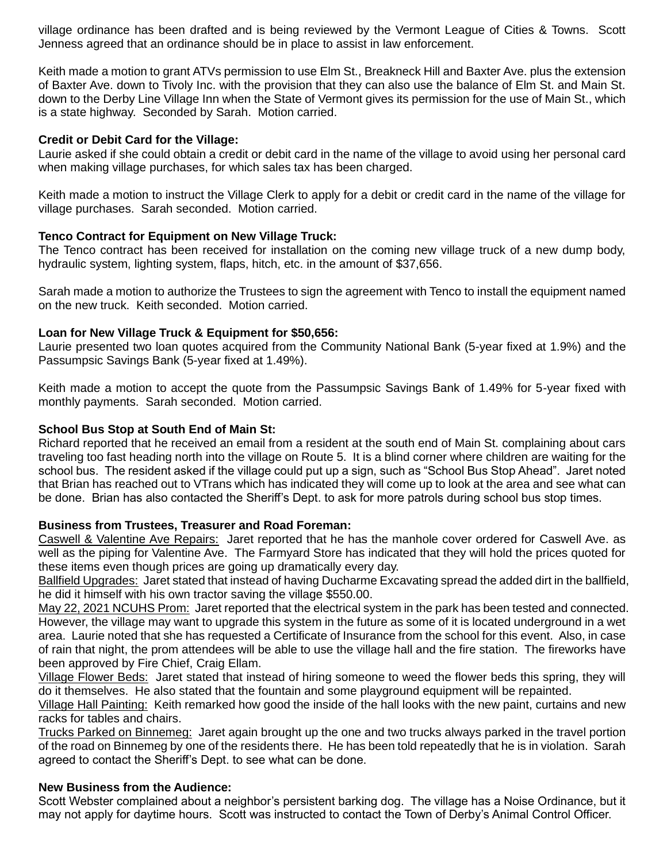village ordinance has been drafted and is being reviewed by the Vermont League of Cities & Towns. Scott Jenness agreed that an ordinance should be in place to assist in law enforcement.

Keith made a motion to grant ATVs permission to use Elm St., Breakneck Hill and Baxter Ave. plus the extension of Baxter Ave. down to Tivoly Inc. with the provision that they can also use the balance of Elm St. and Main St. down to the Derby Line Village Inn when the State of Vermont gives its permission for the use of Main St., which is a state highway. Seconded by Sarah. Motion carried.

# **Credit or Debit Card for the Village:**

Laurie asked if she could obtain a credit or debit card in the name of the village to avoid using her personal card when making village purchases, for which sales tax has been charged.

Keith made a motion to instruct the Village Clerk to apply for a debit or credit card in the name of the village for village purchases. Sarah seconded. Motion carried.

# **Tenco Contract for Equipment on New Village Truck:**

The Tenco contract has been received for installation on the coming new village truck of a new dump body, hydraulic system, lighting system, flaps, hitch, etc. in the amount of \$37,656.

Sarah made a motion to authorize the Trustees to sign the agreement with Tenco to install the equipment named on the new truck. Keith seconded. Motion carried.

# **Loan for New Village Truck & Equipment for \$50,656:**

Laurie presented two loan quotes acquired from the Community National Bank (5-year fixed at 1.9%) and the Passumpsic Savings Bank (5-year fixed at 1.49%).

Keith made a motion to accept the quote from the Passumpsic Savings Bank of 1.49% for 5-year fixed with monthly payments. Sarah seconded. Motion carried.

# **School Bus Stop at South End of Main St:**

Richard reported that he received an email from a resident at the south end of Main St. complaining about cars traveling too fast heading north into the village on Route 5. It is a blind corner where children are waiting for the school bus. The resident asked if the village could put up a sign, such as "School Bus Stop Ahead". Jaret noted that Brian has reached out to VTrans which has indicated they will come up to look at the area and see what can be done. Brian has also contacted the Sheriff's Dept. to ask for more patrols during school bus stop times.

#### **Business from Trustees, Treasurer and Road Foreman:**

Caswell & Valentine Ave Repairs: Jaret reported that he has the manhole cover ordered for Caswell Ave. as well as the piping for Valentine Ave. The Farmyard Store has indicated that they will hold the prices quoted for these items even though prices are going up dramatically every day.

Ballfield Upgrades: Jaret stated that instead of having Ducharme Excavating spread the added dirt in the ballfield, he did it himself with his own tractor saving the village \$550.00.

May 22, 2021 NCUHS Prom: Jaret reported that the electrical system in the park has been tested and connected. However, the village may want to upgrade this system in the future as some of it is located underground in a wet area. Laurie noted that she has requested a Certificate of Insurance from the school for this event. Also, in case of rain that night, the prom attendees will be able to use the village hall and the fire station. The fireworks have been approved by Fire Chief, Craig Ellam.

Village Flower Beds: Jaret stated that instead of hiring someone to weed the flower beds this spring, they will do it themselves. He also stated that the fountain and some playground equipment will be repainted.

Village Hall Painting: Keith remarked how good the inside of the hall looks with the new paint, curtains and new racks for tables and chairs.

Trucks Parked on Binnemeg: Jaret again brought up the one and two trucks always parked in the travel portion of the road on Binnemeg by one of the residents there. He has been told repeatedly that he is in violation. Sarah agreed to contact the Sheriff's Dept. to see what can be done.

#### **New Business from the Audience:**

Scott Webster complained about a neighbor's persistent barking dog. The village has a Noise Ordinance, but it may not apply for daytime hours. Scott was instructed to contact the Town of Derby's Animal Control Officer.